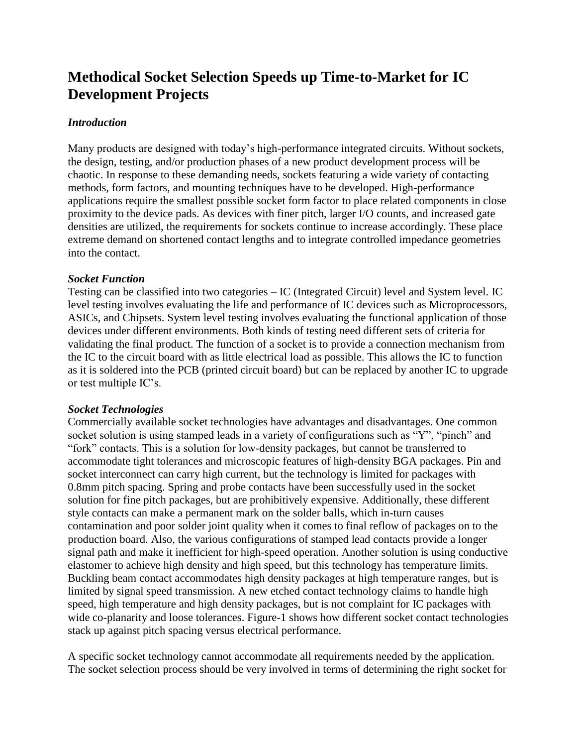# **Methodical Socket Selection Speeds up Time-to-Market for IC Development Projects**

## *Introduction*

Many products are designed with today's high-performance integrated circuits. Without sockets, the design, testing, and/or production phases of a new product development process will be chaotic. In response to these demanding needs, sockets featuring a wide variety of contacting methods, form factors, and mounting techniques have to be developed. High-performance applications require the smallest possible socket form factor to place related components in close proximity to the device pads. As devices with finer pitch, larger I/O counts, and increased gate densities are utilized, the requirements for sockets continue to increase accordingly. These place extreme demand on shortened contact lengths and to integrate controlled impedance geometries into the contact.

## *Socket Function*

Testing can be classified into two categories – IC (Integrated Circuit) level and System level. IC level testing involves evaluating the life and performance of IC devices such as Microprocessors, ASICs, and Chipsets. System level testing involves evaluating the functional application of those devices under different environments. Both kinds of testing need different sets of criteria for validating the final product. The function of a socket is to provide a connection mechanism from the IC to the circuit board with as little electrical load as possible. This allows the IC to function as it is soldered into the PCB (printed circuit board) but can be replaced by another IC to upgrade or test multiple IC's.

## *Socket Technologies*

Commercially available socket technologies have advantages and disadvantages. One common socket solution is using stamped leads in a variety of configurations such as "Y", "pinch" and "fork" contacts. This is a solution for low-density packages, but cannot be transferred to accommodate tight tolerances and microscopic features of high-density BGA packages. Pin and socket interconnect can carry high current, but the technology is limited for packages with 0.8mm pitch spacing. Spring and probe contacts have been successfully used in the socket solution for fine pitch packages, but are prohibitively expensive. Additionally, these different style contacts can make a permanent mark on the solder balls, which in-turn causes contamination and poor solder joint quality when it comes to final reflow of packages on to the production board. Also, the various configurations of stamped lead contacts provide a longer signal path and make it inefficient for high-speed operation. Another solution is using conductive elastomer to achieve high density and high speed, but this technology has temperature limits. Buckling beam contact accommodates high density packages at high temperature ranges, but is limited by signal speed transmission. A new etched contact technology claims to handle high speed, high temperature and high density packages, but is not complaint for IC packages with wide co-planarity and loose tolerances. Figure-1 shows how different socket contact technologies stack up against pitch spacing versus electrical performance.

A specific socket technology cannot accommodate all requirements needed by the application. The socket selection process should be very involved in terms of determining the right socket for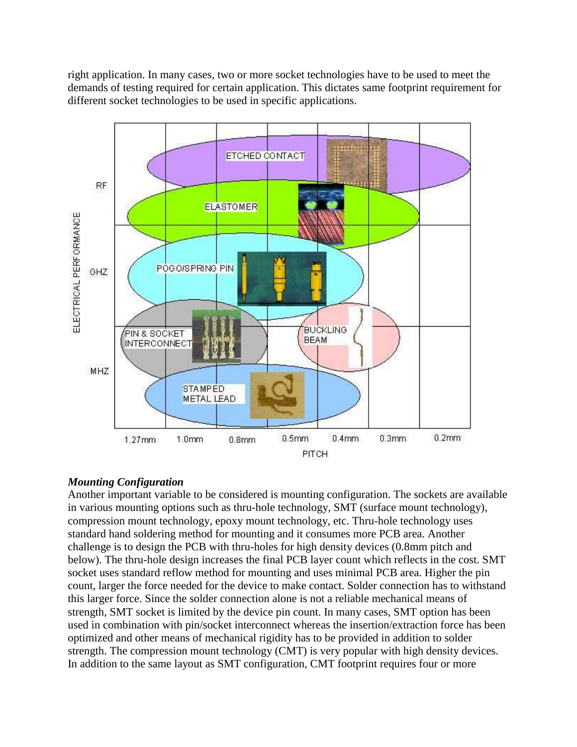right application. In many cases, two or more socket technologies have to be used to meet the demands of testing required for certain application. This dictates same footprint requirement for different socket technologies to be used in specific applications.



# *Mounting Configuration*

Another important variable to be considered is mounting configuration. The sockets are available in various mounting options such as thru-hole technology, SMT (surface mount technology), compression mount technology, epoxy mount technology, etc. Thru-hole technology uses standard hand soldering method for mounting and it consumes more PCB area. Another challenge is to design the PCB with thru-holes for high density devices (0.8mm pitch and below). The thru-hole design increases the final PCB layer count which reflects in the cost. SMT socket uses standard reflow method for mounting and uses minimal PCB area. Higher the pin count, larger the force needed for the device to make contact. Solder connection has to withstand this larger force. Since the solder connection alone is not a reliable mechanical means of strength, SMT socket is limited by the device pin count. In many cases, SMT option has been used in combination with pin/socket interconnect whereas the insertion/extraction force has been optimized and other means of mechanical rigidity has to be provided in addition to solder strength. The compression mount technology (CMT) is very popular with high density devices. In addition to the same layout as SMT configuration, CMT footprint requires four or more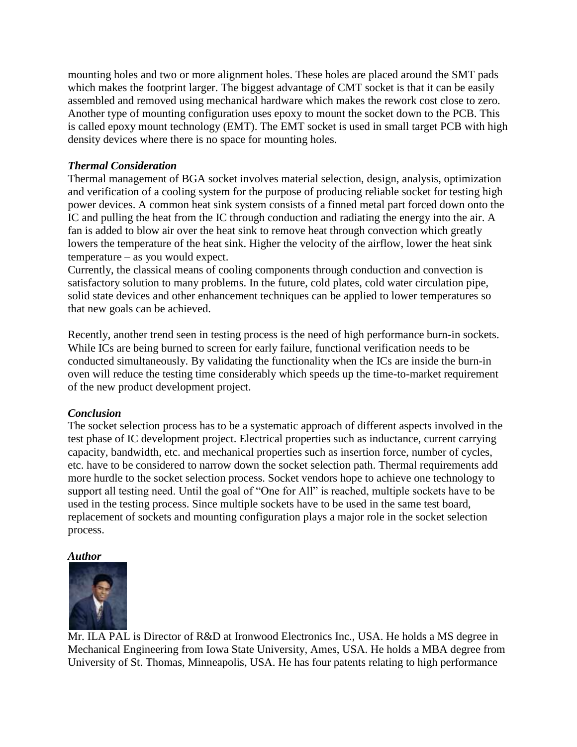mounting holes and two or more alignment holes. These holes are placed around the SMT pads which makes the footprint larger. The biggest advantage of CMT socket is that it can be easily assembled and removed using mechanical hardware which makes the rework cost close to zero. Another type of mounting configuration uses epoxy to mount the socket down to the PCB. This is called epoxy mount technology (EMT). The EMT socket is used in small target PCB with high density devices where there is no space for mounting holes.

## *Thermal Consideration*

Thermal management of BGA socket involves material selection, design, analysis, optimization and verification of a cooling system for the purpose of producing reliable socket for testing high power devices. A common heat sink system consists of a finned metal part forced down onto the IC and pulling the heat from the IC through conduction and radiating the energy into the air. A fan is added to blow air over the heat sink to remove heat through convection which greatly lowers the temperature of the heat sink. Higher the velocity of the airflow, lower the heat sink temperature – as you would expect.

Currently, the classical means of cooling components through conduction and convection is satisfactory solution to many problems. In the future, cold plates, cold water circulation pipe, solid state devices and other enhancement techniques can be applied to lower temperatures so that new goals can be achieved.

Recently, another trend seen in testing process is the need of high performance burn-in sockets. While ICs are being burned to screen for early failure, functional verification needs to be conducted simultaneously. By validating the functionality when the ICs are inside the burn-in oven will reduce the testing time considerably which speeds up the time-to-market requirement of the new product development project.

## *Conclusion*

The socket selection process has to be a systematic approach of different aspects involved in the test phase of IC development project. Electrical properties such as inductance, current carrying capacity, bandwidth, etc. and mechanical properties such as insertion force, number of cycles, etc. have to be considered to narrow down the socket selection path. Thermal requirements add more hurdle to the socket selection process. Socket vendors hope to achieve one technology to support all testing need. Until the goal of "One for All" is reached, multiple sockets have to be used in the testing process. Since multiple sockets have to be used in the same test board, replacement of sockets and mounting configuration plays a major role in the socket selection process.

## *Author*



Mr. ILA PAL is Director of R&D at Ironwood Electronics Inc., USA. He holds a MS degree in Mechanical Engineering from Iowa State University, Ames, USA. He holds a MBA degree from University of St. Thomas, Minneapolis, USA. He has four patents relating to high performance